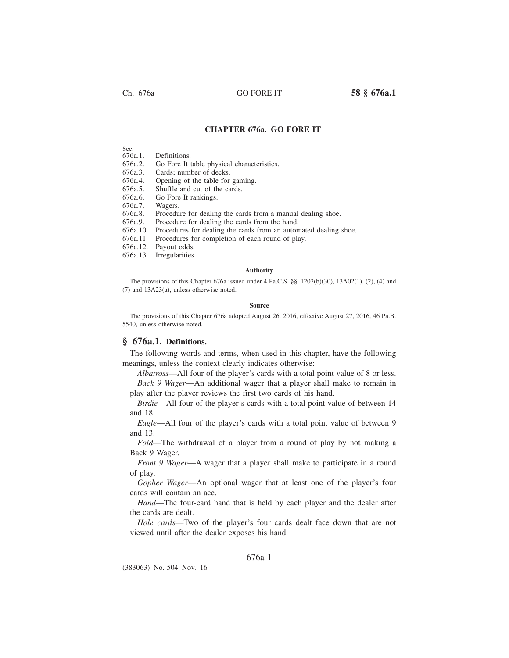Ch. 676a GO FORE IT **58 § 676a.1**

## **CHAPTER 676a. GO FORE IT**

Sec.<br>676a.1.

Definitions.

676a.2. Go Fore It table physical characteristics.

676a.3. Cards; number of decks.

676a.4. Opening of the table for gaming.

676a.5. Shuffle and cut of the cards.

676a.6. Go Fore It rankings.

676a.7. Wagers.

676a.8. Procedure for dealing the cards from a manual dealing shoe.

676a.9. Procedure for dealing the cards from the hand.

676a.10. Procedures for dealing the cards from an automated dealing shoe.

676a.11. Procedures for completion of each round of play.

676a.12. Payout odds.

676a.13. Irregularities.

#### **Authority**

The provisions of this Chapter 676a issued under 4 Pa.C.S. §§ 1202(b)(30), 13A02(1), (2), (4) and (7) and 13A23(a), unless otherwise noted.

#### **Source**

The provisions of this Chapter 676a adopted August 26, 2016, effective August 27, 2016, 46 Pa.B. 5540, unless otherwise noted.

## **§ 676a.1. Definitions.**

The following words and terms, when used in this chapter, have the following meanings, unless the context clearly indicates otherwise:

*Albatross*—All four of the player's cards with a total point value of 8 or less. *Back 9 Wager*—An additional wager that a player shall make to remain in play after the player reviews the first two cards of his hand.

*Birdie*—All four of the player's cards with a total point value of between 14 and 18.

*Eagle*—All four of the player's cards with a total point value of between 9 and 13.

*Fold*—The withdrawal of a player from a round of play by not making a Back 9 Wager.

*Front 9 Wager*—A wager that a player shall make to participate in a round of play.

*Gopher Wager*—An optional wager that at least one of the player's four cards will contain an ace.

*Hand*—The four-card hand that is held by each player and the dealer after the cards are dealt.

*Hole cards*—Two of the player's four cards dealt face down that are not viewed until after the dealer exposes his hand.

## 676a-1

(383063) No. 504 Nov. 16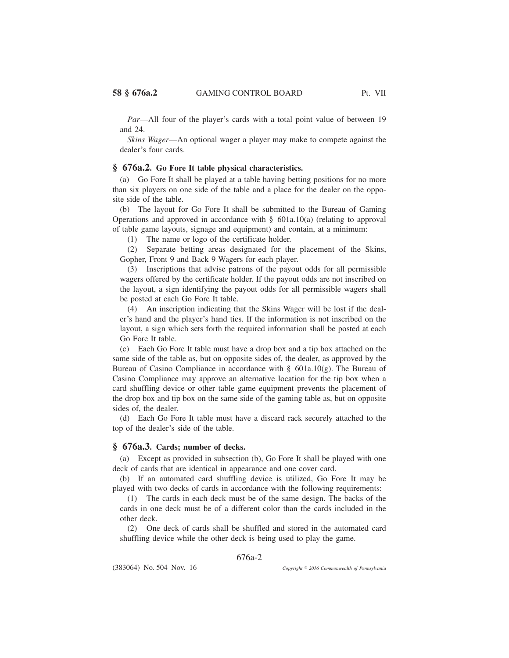*Par*—All four of the player's cards with a total point value of between 19 and 24.

*Skins Wager*—An optional wager a player may make to compete against the dealer's four cards.

## **§ 676a.2. Go Fore It table physical characteristics.**

(a) Go Fore It shall be played at a table having betting positions for no more than six players on one side of the table and a place for the dealer on the opposite side of the table.

(b) The layout for Go Fore It shall be submitted to the Bureau of Gaming Operations and approved in accordance with § 601a.10(a) (relating to approval of table game layouts, signage and equipment) and contain, at a minimum:

(1) The name or logo of the certificate holder.

(2) Separate betting areas designated for the placement of the Skins, Gopher, Front 9 and Back 9 Wagers for each player.

(3) Inscriptions that advise patrons of the payout odds for all permissible wagers offered by the certificate holder. If the payout odds are not inscribed on the layout, a sign identifying the payout odds for all permissible wagers shall be posted at each Go Fore It table.

(4) An inscription indicating that the Skins Wager will be lost if the dealer's hand and the player's hand ties. If the information is not inscribed on the layout, a sign which sets forth the required information shall be posted at each Go Fore It table.

(c) Each Go Fore It table must have a drop box and a tip box attached on the same side of the table as, but on opposite sides of, the dealer, as approved by the Bureau of Casino Compliance in accordance with § 601a.10(g). The Bureau of Casino Compliance may approve an alternative location for the tip box when a card shuffling device or other table game equipment prevents the placement of the drop box and tip box on the same side of the gaming table as, but on opposite sides of, the dealer.

(d) Each Go Fore It table must have a discard rack securely attached to the top of the dealer's side of the table.

#### **§ 676a.3. Cards; number of decks.**

(a) Except as provided in subsection (b), Go Fore It shall be played with one deck of cards that are identical in appearance and one cover card.

(b) If an automated card shuffling device is utilized, Go Fore It may be played with two decks of cards in accordance with the following requirements:

(1) The cards in each deck must be of the same design. The backs of the cards in one deck must be of a different color than the cards included in the other deck.

(2) One deck of cards shall be shuffled and stored in the automated card shuffling device while the other deck is being used to play the game.

676a-2

(383064) No. 504 Nov. 16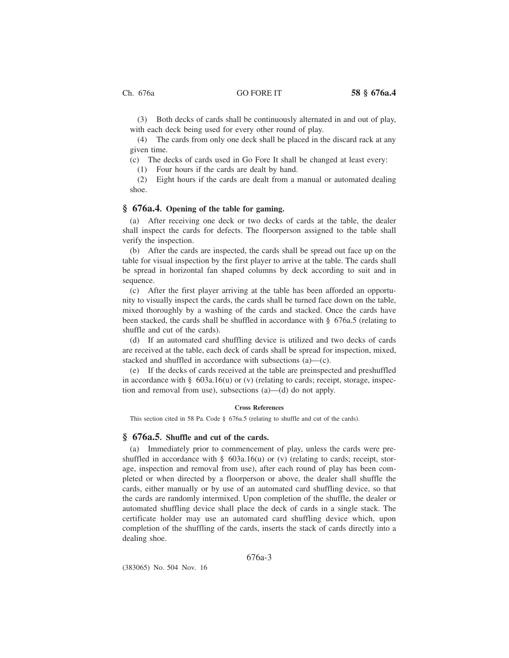(3) Both decks of cards shall be continuously alternated in and out of play, with each deck being used for every other round of play.

(4) The cards from only one deck shall be placed in the discard rack at any given time.

(c) The decks of cards used in Go Fore It shall be changed at least every:

(1) Four hours if the cards are dealt by hand.

(2) Eight hours if the cards are dealt from a manual or automated dealing shoe.

## **§ 676a.4. Opening of the table for gaming.**

(a) After receiving one deck or two decks of cards at the table, the dealer shall inspect the cards for defects. The floorperson assigned to the table shall verify the inspection.

(b) After the cards are inspected, the cards shall be spread out face up on the table for visual inspection by the first player to arrive at the table. The cards shall be spread in horizontal fan shaped columns by deck according to suit and in sequence.

(c) After the first player arriving at the table has been afforded an opportunity to visually inspect the cards, the cards shall be turned face down on the table, mixed thoroughly by a washing of the cards and stacked. Once the cards have been stacked, the cards shall be shuffled in accordance with § 676a.5 (relating to shuffle and cut of the cards).

(d) If an automated card shuffling device is utilized and two decks of cards are received at the table, each deck of cards shall be spread for inspection, mixed, stacked and shuffled in accordance with subsections (a)—(c).

(e) If the decks of cards received at the table are preinspected and preshuffled in accordance with  $\S$  603a.16(u) or (v) (relating to cards; receipt, storage, inspection and removal from use), subsections (a)—(d) do not apply.

### **Cross References**

This section cited in 58 Pa. Code § 676a.5 (relating to shuffle and cut of the cards).

## **§ 676a.5. Shuffle and cut of the cards.**

(a) Immediately prior to commencement of play, unless the cards were preshuffled in accordance with  $\S$  603a.16(u) or (v) (relating to cards; receipt, storage, inspection and removal from use), after each round of play has been completed or when directed by a floorperson or above, the dealer shall shuffle the cards, either manually or by use of an automated card shuffling device, so that the cards are randomly intermixed. Upon completion of the shuffle, the dealer or automated shuffling device shall place the deck of cards in a single stack. The certificate holder may use an automated card shuffling device which, upon completion of the shuffling of the cards, inserts the stack of cards directly into a dealing shoe.

676a-3

(383065) No. 504 Nov. 16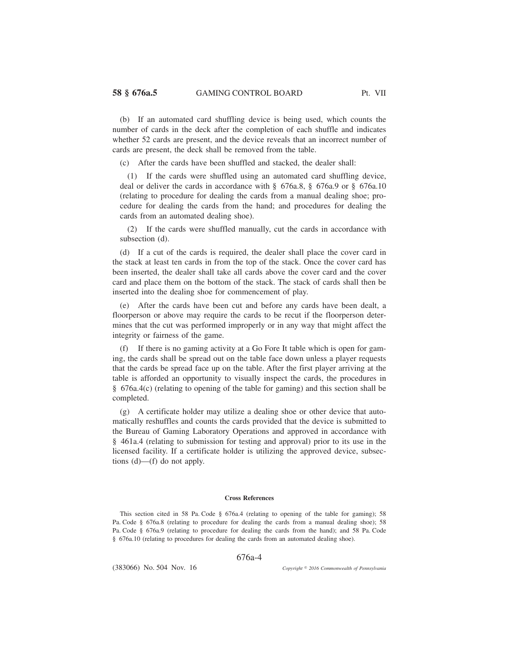(b) If an automated card shuffling device is being used, which counts the number of cards in the deck after the completion of each shuffle and indicates whether 52 cards are present, and the device reveals that an incorrect number of cards are present, the deck shall be removed from the table.

(c) After the cards have been shuffled and stacked, the dealer shall:

(1) If the cards were shuffled using an automated card shuffling device, deal or deliver the cards in accordance with § 676a.8, § 676a.9 or § 676a.10 (relating to procedure for dealing the cards from a manual dealing shoe; procedure for dealing the cards from the hand; and procedures for dealing the cards from an automated dealing shoe).

(2) If the cards were shuffled manually, cut the cards in accordance with subsection (d).

(d) If a cut of the cards is required, the dealer shall place the cover card in the stack at least ten cards in from the top of the stack. Once the cover card has been inserted, the dealer shall take all cards above the cover card and the cover card and place them on the bottom of the stack. The stack of cards shall then be inserted into the dealing shoe for commencement of play.

(e) After the cards have been cut and before any cards have been dealt, a floorperson or above may require the cards to be recut if the floorperson determines that the cut was performed improperly or in any way that might affect the integrity or fairness of the game.

(f) If there is no gaming activity at a Go Fore It table which is open for gaming, the cards shall be spread out on the table face down unless a player requests that the cards be spread face up on the table. After the first player arriving at the table is afforded an opportunity to visually inspect the cards, the procedures in § 676a.4(c) (relating to opening of the table for gaming) and this section shall be completed.

(g) A certificate holder may utilize a dealing shoe or other device that automatically reshuffles and counts the cards provided that the device is submitted to the Bureau of Gaming Laboratory Operations and approved in accordance with § 461a.4 (relating to submission for testing and approval) prior to its use in the licensed facility. If a certificate holder is utilizing the approved device, subsections (d)—(f) do not apply.

#### **Cross References**

This section cited in 58 Pa. Code § 676a.4 (relating to opening of the table for gaming); 58 Pa. Code § 676a.8 (relating to procedure for dealing the cards from a manual dealing shoe); 58 Pa. Code § 676a.9 (relating to procedure for dealing the cards from the hand); and 58 Pa. Code § 676a.10 (relating to procedures for dealing the cards from an automated dealing shoe).

676a-4

(383066) No. 504 Nov. 16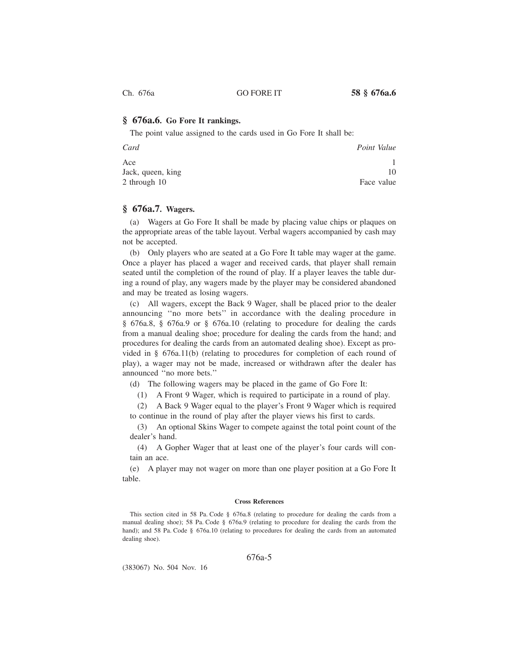## **§ 676a.6. Go Fore It rankings.**

The point value assigned to the cards used in Go Fore It shall be:

| Card              | Point Value |
|-------------------|-------------|
| Ace               |             |
| Jack, queen, king | 10          |
| 2 through 10      | Face value  |

## **§ 676a.7. Wagers.**

(a) Wagers at Go Fore It shall be made by placing value chips or plaques on the appropriate areas of the table layout. Verbal wagers accompanied by cash may not be accepted.

(b) Only players who are seated at a Go Fore It table may wager at the game. Once a player has placed a wager and received cards, that player shall remain seated until the completion of the round of play. If a player leaves the table during a round of play, any wagers made by the player may be considered abandoned and may be treated as losing wagers.

(c) All wagers, except the Back 9 Wager, shall be placed prior to the dealer announcing ''no more bets'' in accordance with the dealing procedure in § 676a.8, § 676a.9 or § 676a.10 (relating to procedure for dealing the cards from a manual dealing shoe; procedure for dealing the cards from the hand; and procedures for dealing the cards from an automated dealing shoe). Except as provided in § 676a.11(b) (relating to procedures for completion of each round of play), a wager may not be made, increased or withdrawn after the dealer has announced ''no more bets.''

(d) The following wagers may be placed in the game of Go Fore It:

(1) A Front 9 Wager, which is required to participate in a round of play.

(2) A Back 9 Wager equal to the player's Front 9 Wager which is required to continue in the round of play after the player views his first to cards.

(3) An optional Skins Wager to compete against the total point count of the dealer's hand.

(4) A Gopher Wager that at least one of the player's four cards will contain an ace.

(e) A player may not wager on more than one player position at a Go Fore It table.

### **Cross References**

This section cited in 58 Pa. Code § 676a.8 (relating to procedure for dealing the cards from a manual dealing shoe); 58 Pa. Code § 676a.9 (relating to procedure for dealing the cards from the hand); and 58 Pa. Code § 676a.10 (relating to procedures for dealing the cards from an automated dealing shoe).

## 676a-5

(383067) No. 504 Nov. 16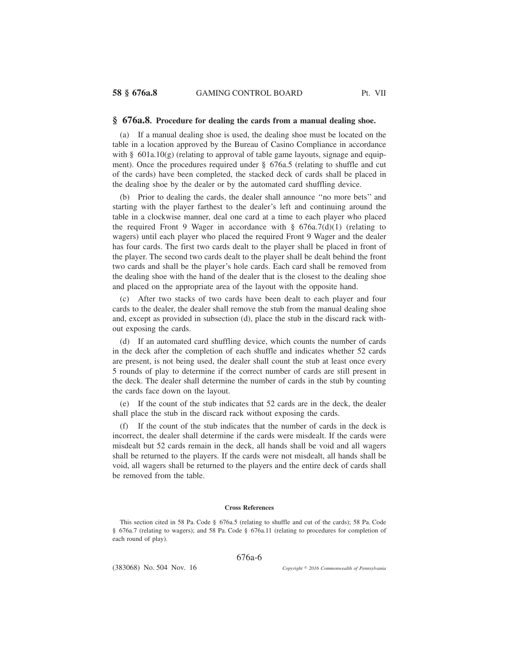### **§ 676a.8. Procedure for dealing the cards from a manual dealing shoe.**

(a) If a manual dealing shoe is used, the dealing shoe must be located on the table in a location approved by the Bureau of Casino Compliance in accordance with  $\S$  601a.10(g) (relating to approval of table game layouts, signage and equipment). Once the procedures required under § 676a.5 (relating to shuffle and cut of the cards) have been completed, the stacked deck of cards shall be placed in the dealing shoe by the dealer or by the automated card shuffling device.

(b) Prior to dealing the cards, the dealer shall announce ''no more bets'' and starting with the player farthest to the dealer's left and continuing around the table in a clockwise manner, deal one card at a time to each player who placed the required Front 9 Wager in accordance with  $\S$  676a.7(d)(1) (relating to wagers) until each player who placed the required Front 9 Wager and the dealer has four cards. The first two cards dealt to the player shall be placed in front of the player. The second two cards dealt to the player shall be dealt behind the front two cards and shall be the player's hole cards. Each card shall be removed from the dealing shoe with the hand of the dealer that is the closest to the dealing shoe and placed on the appropriate area of the layout with the opposite hand.

(c) After two stacks of two cards have been dealt to each player and four cards to the dealer, the dealer shall remove the stub from the manual dealing shoe and, except as provided in subsection (d), place the stub in the discard rack without exposing the cards.

(d) If an automated card shuffling device, which counts the number of cards in the deck after the completion of each shuffle and indicates whether 52 cards are present, is not being used, the dealer shall count the stub at least once every 5 rounds of play to determine if the correct number of cards are still present in the deck. The dealer shall determine the number of cards in the stub by counting the cards face down on the layout.

(e) If the count of the stub indicates that 52 cards are in the deck, the dealer shall place the stub in the discard rack without exposing the cards.

(f) If the count of the stub indicates that the number of cards in the deck is incorrect, the dealer shall determine if the cards were misdealt. If the cards were misdealt but 52 cards remain in the deck, all hands shall be void and all wagers shall be returned to the players. If the cards were not misdealt, all hands shall be void, all wagers shall be returned to the players and the entire deck of cards shall be removed from the table.

#### **Cross References**

This section cited in 58 Pa. Code § 676a.5 (relating to shuffle and cut of the cards); 58 Pa. Code § 676a.7 (relating to wagers); and 58 Pa. Code § 676a.11 (relating to procedures for completion of each round of play).

676a-6

(383068) No. 504 Nov. 16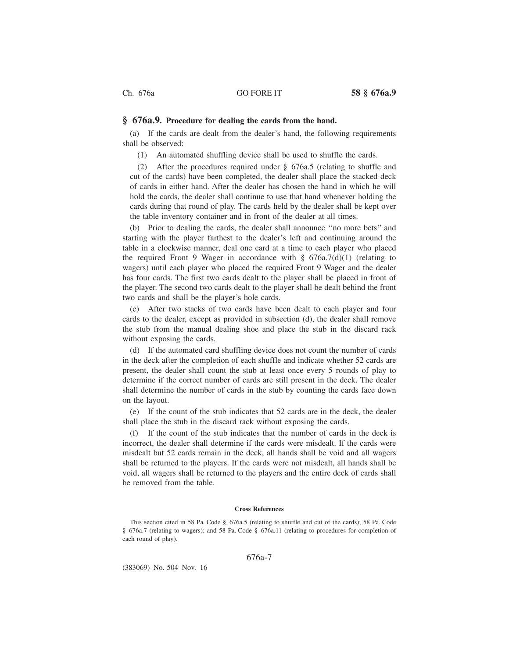### **§ 676a.9. Procedure for dealing the cards from the hand.**

(a) If the cards are dealt from the dealer's hand, the following requirements shall be observed:

(1) An automated shuffling device shall be used to shuffle the cards.

(2) After the procedures required under § 676a.5 (relating to shuffle and cut of the cards) have been completed, the dealer shall place the stacked deck of cards in either hand. After the dealer has chosen the hand in which he will hold the cards, the dealer shall continue to use that hand whenever holding the cards during that round of play. The cards held by the dealer shall be kept over the table inventory container and in front of the dealer at all times.

(b) Prior to dealing the cards, the dealer shall announce ''no more bets'' and starting with the player farthest to the dealer's left and continuing around the table in a clockwise manner, deal one card at a time to each player who placed the required Front 9 Wager in accordance with  $\S$  676a.7(d)(1) (relating to wagers) until each player who placed the required Front 9 Wager and the dealer has four cards. The first two cards dealt to the player shall be placed in front of the player. The second two cards dealt to the player shall be dealt behind the front two cards and shall be the player's hole cards.

(c) After two stacks of two cards have been dealt to each player and four cards to the dealer, except as provided in subsection (d), the dealer shall remove the stub from the manual dealing shoe and place the stub in the discard rack without exposing the cards.

(d) If the automated card shuffling device does not count the number of cards in the deck after the completion of each shuffle and indicate whether 52 cards are present, the dealer shall count the stub at least once every 5 rounds of play to determine if the correct number of cards are still present in the deck. The dealer shall determine the number of cards in the stub by counting the cards face down on the layout.

(e) If the count of the stub indicates that 52 cards are in the deck, the dealer shall place the stub in the discard rack without exposing the cards.

(f) If the count of the stub indicates that the number of cards in the deck is incorrect, the dealer shall determine if the cards were misdealt. If the cards were misdealt but 52 cards remain in the deck, all hands shall be void and all wagers shall be returned to the players. If the cards were not misdealt, all hands shall be void, all wagers shall be returned to the players and the entire deck of cards shall be removed from the table.

#### **Cross References**

This section cited in 58 Pa. Code § 676a.5 (relating to shuffle and cut of the cards); 58 Pa. Code § 676a.7 (relating to wagers); and 58 Pa. Code § 676a.11 (relating to procedures for completion of each round of play).

676a-7

(383069) No. 504 Nov. 16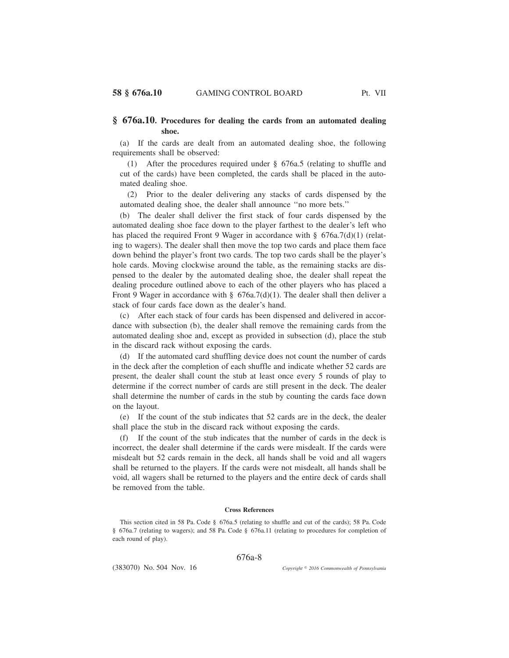## **§ 676a.10. Procedures for dealing the cards from an automated dealing shoe.**

(a) If the cards are dealt from an automated dealing shoe, the following requirements shall be observed:

(1) After the procedures required under § 676a.5 (relating to shuffle and cut of the cards) have been completed, the cards shall be placed in the automated dealing shoe.

(2) Prior to the dealer delivering any stacks of cards dispensed by the automated dealing shoe, the dealer shall announce ''no more bets.''

(b) The dealer shall deliver the first stack of four cards dispensed by the automated dealing shoe face down to the player farthest to the dealer's left who has placed the required Front 9 Wager in accordance with §  $676a.7(d)(1)$  (relating to wagers). The dealer shall then move the top two cards and place them face down behind the player's front two cards. The top two cards shall be the player's hole cards. Moving clockwise around the table, as the remaining stacks are dispensed to the dealer by the automated dealing shoe, the dealer shall repeat the dealing procedure outlined above to each of the other players who has placed a Front 9 Wager in accordance with  $\S$  676a.7(d)(1). The dealer shall then deliver a stack of four cards face down as the dealer's hand.

(c) After each stack of four cards has been dispensed and delivered in accordance with subsection (b), the dealer shall remove the remaining cards from the automated dealing shoe and, except as provided in subsection (d), place the stub in the discard rack without exposing the cards.

(d) If the automated card shuffling device does not count the number of cards in the deck after the completion of each shuffle and indicate whether 52 cards are present, the dealer shall count the stub at least once every 5 rounds of play to determine if the correct number of cards are still present in the deck. The dealer shall determine the number of cards in the stub by counting the cards face down on the layout.

(e) If the count of the stub indicates that 52 cards are in the deck, the dealer shall place the stub in the discard rack without exposing the cards.

(f) If the count of the stub indicates that the number of cards in the deck is incorrect, the dealer shall determine if the cards were misdealt. If the cards were misdealt but 52 cards remain in the deck, all hands shall be void and all wagers shall be returned to the players. If the cards were not misdealt, all hands shall be void, all wagers shall be returned to the players and the entire deck of cards shall be removed from the table.

#### **Cross References**

This section cited in 58 Pa. Code § 676a.5 (relating to shuffle and cut of the cards); 58 Pa. Code § 676a.7 (relating to wagers); and 58 Pa. Code § 676a.11 (relating to procedures for completion of each round of play).

676a-8

(383070) No. 504 Nov. 16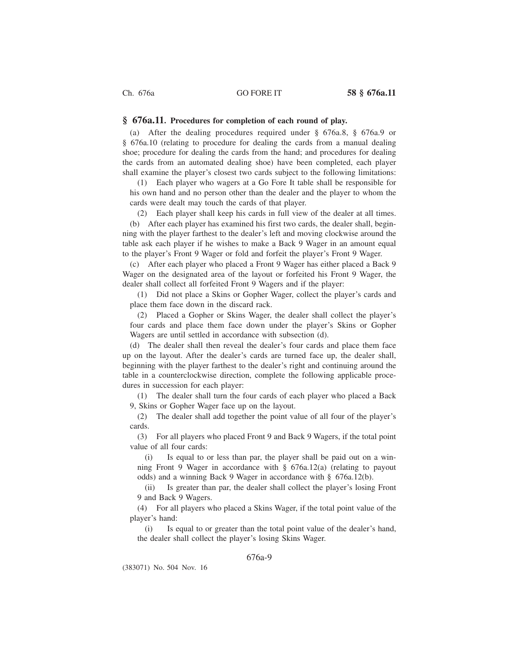## **§ 676a.11. Procedures for completion of each round of play.**

(a) After the dealing procedures required under § 676a.8, § 676a.9 or § 676a.10 (relating to procedure for dealing the cards from a manual dealing shoe; procedure for dealing the cards from the hand; and procedures for dealing the cards from an automated dealing shoe) have been completed, each player shall examine the player's closest two cards subject to the following limitations:

(1) Each player who wagers at a Go Fore It table shall be responsible for his own hand and no person other than the dealer and the player to whom the cards were dealt may touch the cards of that player.

(2) Each player shall keep his cards in full view of the dealer at all times. (b) After each player has examined his first two cards, the dealer shall, beginning with the player farthest to the dealer's left and moving clockwise around the table ask each player if he wishes to make a Back 9 Wager in an amount equal to the player's Front 9 Wager or fold and forfeit the player's Front 9 Wager.

(c) After each player who placed a Front 9 Wager has either placed a Back 9 Wager on the designated area of the layout or forfeited his Front 9 Wager, the dealer shall collect all forfeited Front 9 Wagers and if the player:

(1) Did not place a Skins or Gopher Wager, collect the player's cards and place them face down in the discard rack.

(2) Placed a Gopher or Skins Wager, the dealer shall collect the player's four cards and place them face down under the player's Skins or Gopher Wagers are until settled in accordance with subsection (d).

(d) The dealer shall then reveal the dealer's four cards and place them face up on the layout. After the dealer's cards are turned face up, the dealer shall, beginning with the player farthest to the dealer's right and continuing around the table in a counterclockwise direction, complete the following applicable procedures in succession for each player:

(1) The dealer shall turn the four cards of each player who placed a Back 9, Skins or Gopher Wager face up on the layout.

(2) The dealer shall add together the point value of all four of the player's cards.

(3) For all players who placed Front 9 and Back 9 Wagers, if the total point value of all four cards:

(i) Is equal to or less than par, the player shall be paid out on a winning Front 9 Wager in accordance with § 676a.12(a) (relating to payout odds) and a winning Back 9 Wager in accordance with § 676a.12(b).

(ii) Is greater than par, the dealer shall collect the player's losing Front 9 and Back 9 Wagers.

(4) For all players who placed a Skins Wager, if the total point value of the player's hand:

(i) Is equal to or greater than the total point value of the dealer's hand, the dealer shall collect the player's losing Skins Wager.

## 676a-9

(383071) No. 504 Nov. 16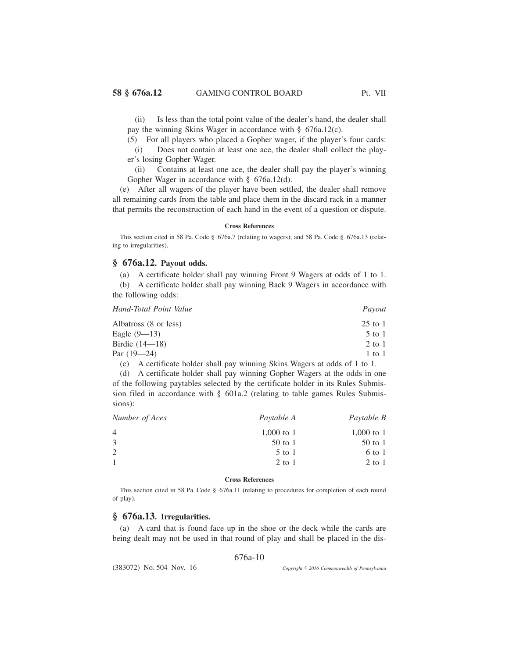(ii) Is less than the total point value of the dealer's hand, the dealer shall pay the winning Skins Wager in accordance with § 676a.12(c).

(5) For all players who placed a Gopher wager, if the player's four cards: (i) Does not contain at least one ace, the dealer shall collect the player's losing Gopher Wager.

(ii) Contains at least one ace, the dealer shall pay the player's winning Gopher Wager in accordance with § 676a.12(d).

(e) After all wagers of the player have been settled, the dealer shall remove all remaining cards from the table and place them in the discard rack in a manner that permits the reconstruction of each hand in the event of a question or dispute.

#### **Cross References**

This section cited in 58 Pa. Code § 676a.7 (relating to wagers); and 58 Pa. Code § 676a.13 (relating to irregularities).

## **§ 676a.12. Payout odds.**

(a) A certificate holder shall pay winning Front 9 Wagers at odds of 1 to 1. (b) A certificate holder shall pay winning Back 9 Wagers in accordance with the following odds:

| Hand-Total Point Value | Payout     |
|------------------------|------------|
| Albatross (8 or less)  | $25$ to 1  |
| Eagle $(9-13)$         | $5$ to 1   |
| Birdie $(14 - 18)$     | $2$ to 1   |
| Par $(19-24)$          | $1$ to $1$ |
|                        |            |

(c) A certificate holder shall pay winning Skins Wagers at odds of 1 to 1.

(d) A certificate holder shall pay winning Gopher Wagers at the odds in one of the following paytables selected by the certificate holder in its Rules Submission filed in accordance with § 601a.2 (relating to table games Rules Submissions):

| Number of Aces | Paytable A | Paytable B |  |
|----------------|------------|------------|--|
|                | 1,000 to 1 | 1,000 to 1 |  |
|                | $50$ to 1  | $50$ to 1  |  |
|                | $5$ to $1$ | 6 to 1     |  |
|                | $2$ to $1$ | $2$ to 1   |  |
|                |            |            |  |

#### **Cross References**

This section cited in 58 Pa. Code § 676a.11 (relating to procedures for completion of each round of play).

# **§ 676a.13. Irregularities.**

(a) A card that is found face up in the shoe or the deck while the cards are being dealt may not be used in that round of play and shall be placed in the dis-

676a-10

(383072) No. 504 Nov. 16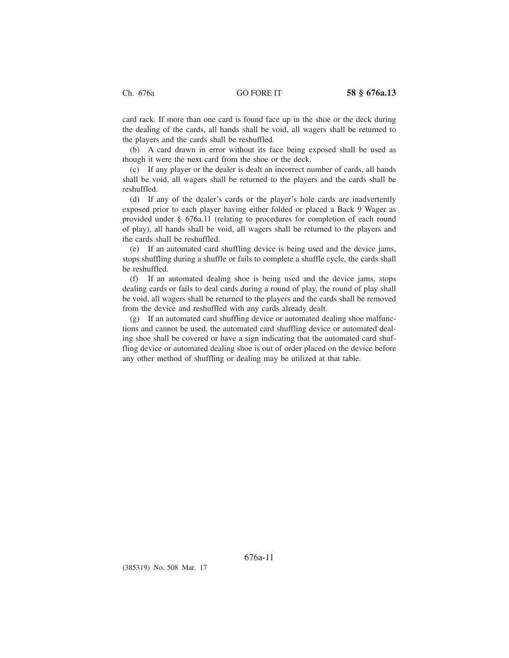card rack. If more than one card is found face up in the shoe or the deck during the dealing of the cards, all hands shall be void, all wagers shall be returned to the players and the cards shall be reshuffled.

(b) A card drawn in error without its face being exposed shall be used as though it were the next card from the shoe or the deck.

(c) If any player or the dealer is dealt an incorrect number of cards, all hands shall be void, all wagers shall be returned to the players and the cards shall be reshuffled.

(d) If any of the dealer's cards or the player's hole cards are inadvertently exposed prior to each player having either folded or placed a Back 9 Wager as provided under § 676a.11 (relating to procedures for completion of each round of play), all hands shall be void, all wagers shall be returned to the players and the cards shall be reshuffled.

(e) If an automated card shuffling device is being used and the device jams, stops shuffling during a shuffle or fails to complete a shuffle cycle, the cards shall be reshuffled.

(f) If an automated dealing shoe is being used and the device jams, stops dealing cards or fails to deal cards during a round of play, the round of play shall be void, all wagers shall be returned to the players and the cards shall be removed from the device and reshuffled with any cards already dealt.

(g) If an automated card shuffling device or automated dealing shoe malfunctions and cannot be used, the automated card shuffling device or automated dealing shoe shall be covered or have a sign indicating that the automated card shuffling device or automated dealing shoe is out of order placed on the device before any other method of shuffling or dealing may be utilized at that table.

(385319) No. 508 Mar. 17

676a-11